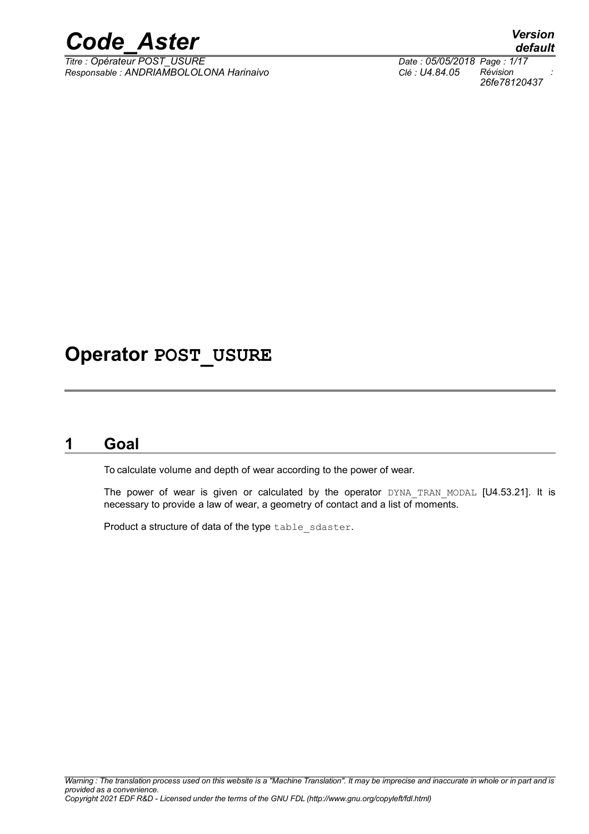

*Titre : Opérateur POST\_USURE Date : 05/05/2018 Page : 1/17 Responsable : ANDRIAMBOLOLONA Harinaivo Clé : U4.84.05 Révision :*

# **Operator POST\_USURE**

# **1 Goal**

To calculate volume and depth of wear according to the power of wear.

The power of wear is given or calculated by the operator DYNA TRAN MODAL [U4.53.21]. It is necessary to provide a law of wear, a geometry of contact and a list of moments.

Product a structure of data of the type table sdaster.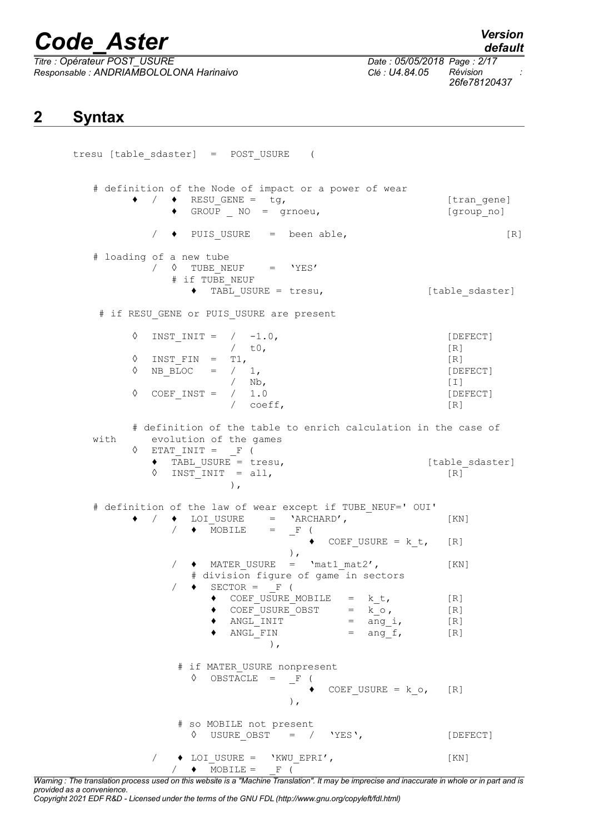*Titre : Opérateur POST\_USURE Date : 05/05/2018 Page : 2/17 Responsable : ANDRIAMBOLOLONA Harinaivo Clé : U4.84.05 Révision :*

*default 26fe78120437*

# **2 Syntax**

tresu [table\_sdaster] = POST\_USURE ( # definition of the Node of impact or a power of wear ♦ / ♦ RESU\_GENE = tg, [tran\_gene] ♦ GROUP \_ NO = grnoeu, [group\_no]  $/$   $\bullet$  PUIS USURE = been able, [R] # loading of a new tube  $\sqrt{8}$  TUBE NEUF = 'YES' # if TUBE NEUF ♦ TABL\_USURE = tresu, [table\_sdaster] # if RESU GENE or PUIS USURE are present  $\Diamond$  INST INIT = / -1.0, [DEFECT] / t0, [R]  $\Diamond$  INST FIN = T1, [R]  $\Diamond$  NB BLOC = / 1, [DEFECT] / Nb,<br>
/ 1.0 [DE  $\Diamond$  COEF INST =  $/ 1.0$  [DEFECT]  $\sqrt{C}$  coeff,  $[R]$ # definition of the table to enrich calculation in the case of with evolution of the games  $\Diamond$  ETAT\_INIT =  $_F$  (  $\begin{array}{ll}\n\text{TABLE } \text{USURE} = \text{tres}, \\
\text{OR} \text{SINIST} = \text{all}.\n\end{array}$  $\Diamond$  INST INIT = all, ), # definition of the law of wear except if TUBE NEUF=' OUI'  $/ \bullet$  LOI USURE = 'ARCHARD',  $[KN]$  $\blacklozenge$  MOBILE =  $\lrcorner$  F (  $\triangleleft$  COEF USURE = k t, [R] ),  $\bullet$  MATER USURE = 'mat1 mat2', [KN] # division figure of game in sectors  $\triangleleft$  SECTOR = F (  $\bullet$  COEF USURE MOBILE = k t, [R]  $\bullet$  COEF USURE OBST = k o, [R]  $\triangleleft$  ANGL\_INIT = ang\_i, [R]  $\triangleleft$  ANGLETIN = ang\_f, [R] ), # if MATER\_USURE nonpresent  $\Diamond$  OBSTACLE =  $\line{F}$  (  $\triangleleft$  COEF USURE = k o, [R] ), # so MOBILE not present  $\Diamond$  USURE OBST = / 'YES', [DEFECT] / ♦ LOI\_USURE = 'KWU\_EPRI', [KN]  $/ \rightarrow$  MOBILE = F (

*Warning : The translation process used on this website is a "Machine Translation". It may be imprecise and inaccurate in whole or in part and is provided as a convenience.*

*Copyright 2021 EDF R&D - Licensed under the terms of the GNU FDL (http://www.gnu.org/copyleft/fdl.html)*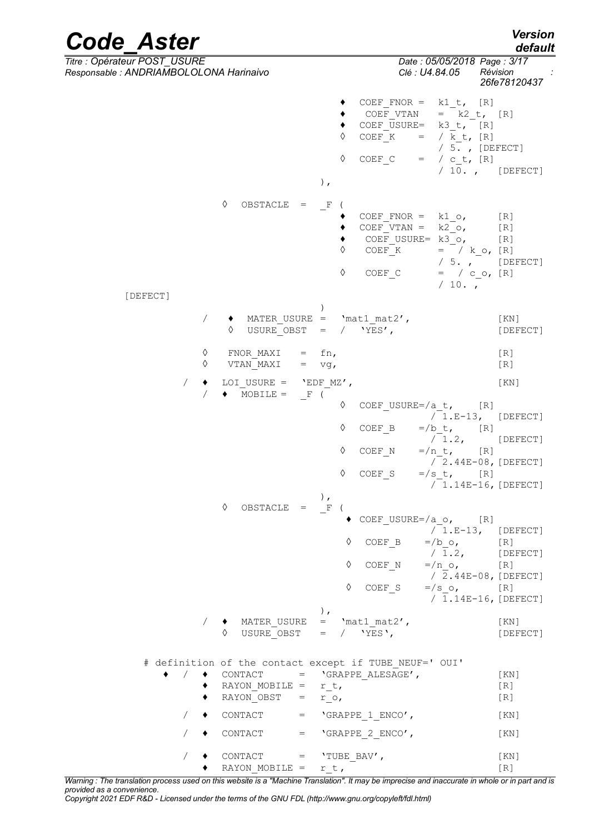*Code\_Aster Version default Titre : Opérateur POST\_USURE Date : 05/05/2018 Page : 3/17 Responsable : ANDRIAMBOLOLONA Harinaivo Clé : U4.84.05 Révision : 26fe78120437*  $\begin{array}{cccc} \leftarrow & \text{COEF_FNOR} = & k1_t, & [R] \\ \leftarrow & \text{COEF VTAN} & = & k2_t, \end{array}$  $\bullet$  COEF VTAN = k2 t, [R]  $\begin{array}{ccc} \bullet & \text{COEF}\overline{\text{USURE}} = & k3_t, \overline{\hspace{0.5cm}} [\text{R}] \ \lozenge & \text{COEF}\ \text{K} & = & /k \text{ t, [R]} \end{array}$  $=$  /  $\overline{k}$  t, [R]  $/ 5.$ , [DEFECT] ◊ COEF\_C = / c\_t, [R]  $/ 10.$ , [DEFECT] ),  $\Diamond$  OBSTACLE =  $_F$  (  $\bullet$  COEF FNOR = k1 o, [R]  $\bullet$  COEF\_VTAN =  $k2$ \_o, [R]  $\bullet$  COEF USURE=  $k3$ o, [R]  $\Diamond$  COEF K = / k o, [R] / 5. , [DEFECT]  $\Diamond$  COEF<sub>\_</sub>C = / c\_o, [R]  $/ 10.$ , [DEFECT] )  $/$   $\rightarrow$  MATER USURE = 'mat1 mat2', [KN]  $\sqrt{VES'}$ , [DEFECT]  $\Diamond$  FNOR MAXI = fn, [R]  $\Diamond$  VTAN\_MAXI = vg,  $[R]$  $\angle$   $\leftrightarrow$  LOI\_USURE = 'EDF\_MZ',<br>  $\angle$   $\leftrightarrow$  MOBILE = F (  $\blacklozenge$  MOBILE = ◊ COEF\_USURE=/a\_t, [R]  $\sqrt{1}$ .E-13, [DEFECT]  $\begin{array}{ccc} \Diamond & \text{COEF\_B} & =/b_t, & [R] \ & & /1.2, \end{array}$ [DEFECT]  $\Diamond$  COEF N =/n t, [R]  $/$  2.44E-08, [DEFECT]<br>'s\_t, [R]

 $\Diamond$  COEF S =/s t,  $\sqrt{1.14E-16}$ , [DEFECT] ),<br> $\frac{F}{F}$  ( ◊ OBSTACLE = \_F ( COEF USURE=/a  $\circ$ , [R] / 1.E-13, [DEFECT]  $\lozenge$  COEF B =/b o, [R] / 1.2, [DEFECT]  $\lozenge$  COEF\_N =/n\_o, [R] / 2.44E-08,[DEFECT]  $\lozenge$  COEF S =/s\_o, [R]  $/ \overline{1.14E-16}$ , [DEFECT] ), / ♦ MATER\_USURE = 'mat1\_mat2', [KN]  $\sqrt{VES'}$ , [DEFECT]

# definition of the contact except if TUBE NEUF=' OUI'  $/ \bullet$  CONTACT = 'GRAPPE ALESAGE', [KN]  $\bullet$  RAYON MOBILE = r t, [R]  $\bullet$  RAYON OBST = r o, [R]  $/$   $\bullet$  CONTACT = 'GRAPPE 1 ENCO', [KN]  $/ \rightarrow$  CONTACT = 'GRAPPE 2 ENCO', [KN]  $/$   $\rightarrow$  CONTACT = 'TUBE BAV', [KN]  $\bullet$  RAYON MOBILE = r t, [R]

*Warning : The translation process used on this website is a "Machine Translation". It may be imprecise and inaccurate in whole or in part and is provided as a convenience.*

*Copyright 2021 EDF R&D - Licensed under the terms of the GNU FDL (http://www.gnu.org/copyleft/fdl.html)*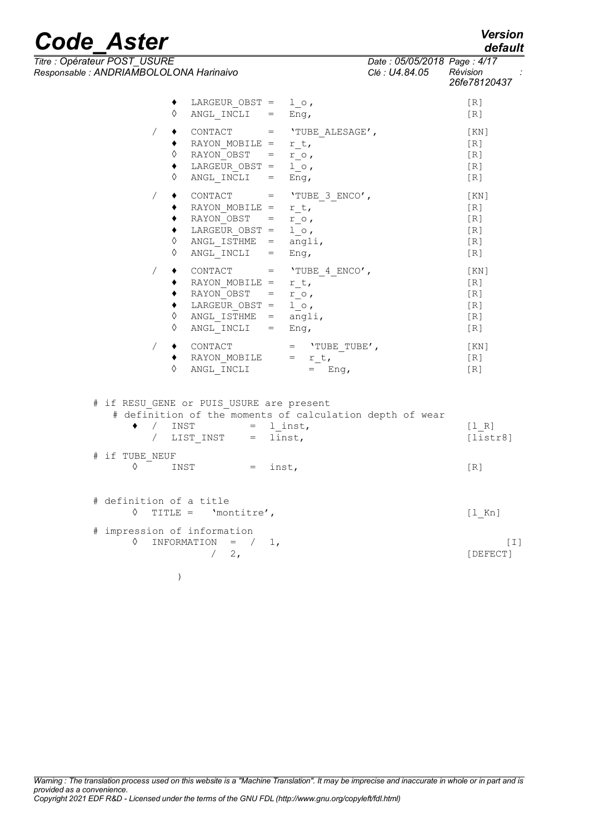*26fe78120437*

*Titre : Opérateur POST\_USURE Date : 05/05/2018 Page : 4/17 Responsable : ANDRIAMBOLOLONA Harinaivo Clé : U4.84.05 Révision :*  $\bullet$  LARGEUR OBST = lo,  $[R]$  $\Diamond$  ANGL INCLI = Eng, [R]  $\angle$   $\bullet$  CONTACT = 'TUBE ALESAGE', [KN]  $\bullet$  RAYON MOBILE = r t,  $\overline{\phantom{a}}$  [R]  $\sqrt{PRAYON}$  OBST = r\_o , [R]

| ♦      | LARGEUR OBST =<br>$ANGL INCLI =$                                                             |                   | $1 \circ$ ,<br>Enq,                                                        | [R]<br>[R]                                            |
|--------|----------------------------------------------------------------------------------------------|-------------------|----------------------------------------------------------------------------|-------------------------------------------------------|
| ♦<br>♦ | CONTACT<br>RAYON MOBILE =<br>$RAYON$ OBST $=$<br>LARGEUR OBST =<br>ANGL ISTHME<br>ANGL INCLI | $=$<br>$=$        | $=$ 'TUBE 3 ENCO',<br>r t,<br>$r \circ$ ,<br>$1 \circ$ ,<br>angli,<br>Enq, | [KN]<br>[R]<br>[R]<br>[R]<br>[R]<br>$\lceil R \rceil$ |
| ♦<br>♦ | CONTACT<br>RAYON MOBILE =<br>RAYON OBST<br>LARGEUR OBST =<br>ANGL ISTHME<br>ANGL INCLI       | $=$<br>$=$<br>$=$ | $=$ 'TUBE 4 ENCO',<br>r t,<br>$r \circ$ ,<br>$1 \circ$ ,<br>angli,<br>Enq, | [KN]<br>[R]<br>[R]<br>[R]<br>[R]<br>[R]               |
|        | CONTACT<br>RAYON MOBILE<br>ANGL INCLI                                                        |                   | 'TUBE TUBE',<br>$=$<br>$=$<br>r t,<br>Eng,                                 | [KN]<br>[R]<br>[R]                                    |

# if RESU GENE or PUIS USURE are present # definition of the moments of calculation depth of wear  $\bullet$  / INST = l\_inst, [l\_R] / LIST\_INST = linst, [listr8] # if TUBE\_NEUF  $\Diamond$  INST = inst,  $[R]$ # definition of a title ◊ TITLE = 'montitre', [l\_Kn] # impression of information  $\begin{array}{cccc} \Diamond & \text{INFORMATION} & = & / & 1, \\ & / & 2, & \end{array}$  [DEFECT]

[DEFECT]

*Warning : The translation process used on this website is a "Machine Translation". It may be imprecise and inaccurate in whole or in part and is provided as a convenience. Copyright 2021 EDF R&D - Licensed under the terms of the GNU FDL (http://www.gnu.org/copyleft/fdl.html)*

)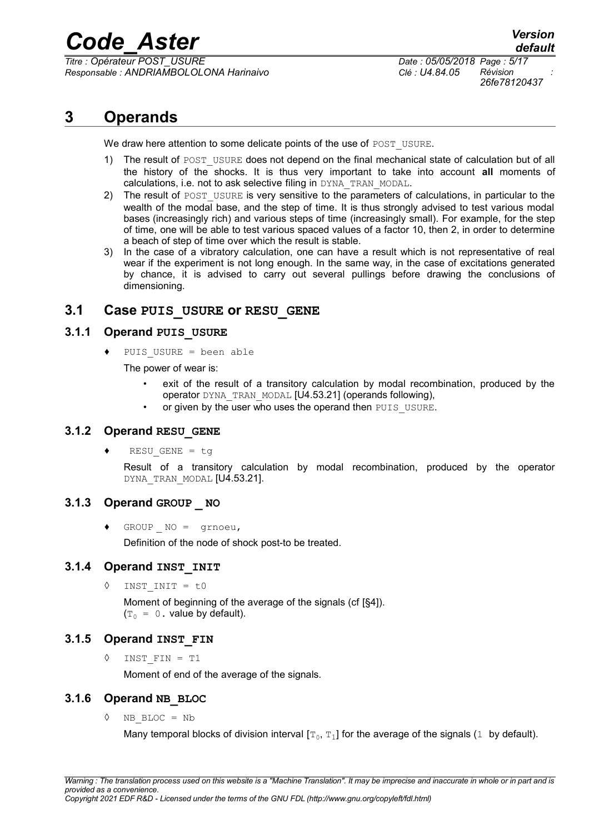*Titre : Opérateur POST\_USURE Date : 05/05/2018 Page : 5/17 Responsable : ANDRIAMBOLOLONA Harinaivo Clé : U4.84.05 Révision :*

*26fe78120437*

# **3 Operands**

We draw here attention to some delicate points of the use of POST USURE.

- 1) The result of POST USURE does not depend on the final mechanical state of calculation but of all the history of the shocks. It is thus very important to take into account **all** moments of calculations, i.e. not to ask selective filing in DYNA\_TRAN\_MODAL.
- 2) The result of POST USURE is very sensitive to the parameters of calculations, in particular to the wealth of the modal base, and the step of time. It is thus strongly advised to test various modal bases (increasingly rich) and various steps of time (increasingly small). For example, for the step of time, one will be able to test various spaced values of a factor 10, then 2, in order to determine a beach of step of time over which the result is stable.
- 3) In the case of a vibratory calculation, one can have a result which is not representative of real wear if the experiment is not long enough. In the same way, in the case of excitations generated by chance, it is advised to carry out several pullings before drawing the conclusions of dimensioning.

# **3.1 Case PUIS\_USURE or RESU\_GENE**

# **3.1.1 Operand PUIS\_USURE**

♦ PUIS\_USURE = been able

The power of wear is:

- exit of the result of a transitory calculation by modal recombination, produced by the operator DYNA\_TRAN\_MODAL [U4.53.21] (operands following),
- or given by the user who uses the operand then PUIS USURE.

## **3.1.2 Operand RESU\_GENE**

♦ RESU\_GENE = tg

Result of a transitory calculation by modal recombination, produced by the operator DYNA TRAN MODAL [U4.53.21].

# **3.1.3 Operand GROUP \_ NO**

 $\triangleleft$  GROUP NO = grnoeu,

Definition of the node of shock post-to be treated.

## **3.1.4 Operand INST\_INIT**

◊ INST\_INIT = t0

Moment of beginning of the average of the signals (cf [§4]).  $(T_0 = 0$ . value by default).

# **3.1.5 Operand INST\_FIN**

◊ INST\_FIN = T1

Moment of end of the average of the signals.

# **3.1.6 Operand NB\_BLOC**

◊ NB\_BLOC = Nb

Many temporal blocks of division interval  $[\texttt{\texttt{T}}_{0},\texttt{\texttt{T}}_{1}]$  for the average of the signals (1  $\,$  by default).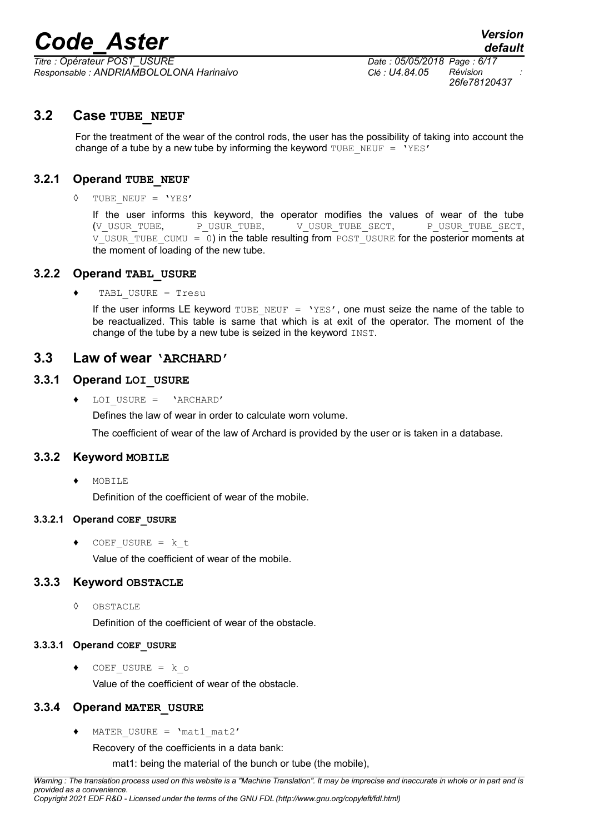*Titre : Opérateur POST\_USURE Date : 05/05/2018 Page : 6/17 Responsable : ANDRIAMBOLOLONA Harinaivo Clé : U4.84.05 Révision :*

*26fe78120437*

# **3.2 Case TUBE\_NEUF**

For the treatment of the wear of the control rods, the user has the possibility of taking into account the change of a tube by a new tube by informing the keyword TUBE\_NEUF =  $'YES'$ 

# **3.2.1 Operand TUBE\_NEUF**

#### ◊ TUBE\_NEUF = 'YES'

If the user informs this keyword, the operator modifies the values of wear of the tube (V\_USUR\_TUBE, P\_USUR\_TUBE, V\_USUR\_TUBE\_SECT, P\_USUR\_TUBE\_SECT,  $V$  USUR TUBE CUMU = 0) in the table resulting from POST USURE for the posterior moments at the moment of loading of the new tube.

## **3.2.2 Operand TABL\_USURE**

#### ♦ TABL\_USURE = Tresu

If the user informs LE keyword TUBE NEUF = 'YES', one must seize the name of the table to be reactualized. This table is same that which is at exit of the operator. The moment of the change of the tube by a new tube is seized in the keyword INST.

# **3.3 Law of wear 'ARCHARD'**

## **3.3.1 Operand LOI\_USURE**

♦ LOI\_USURE = 'ARCHARD'

Defines the law of wear in order to calculate worn volume.

The coefficient of wear of the law of Archard is provided by the user or is taken in a database.

## **3.3.2 Keyword MOBILE**

♦ MOBILE

Definition of the coefficient of wear of the mobile.

#### **3.3.2.1 Operand COEF\_USURE**

 $\triangleleft$  COEF USURE = k t Value of the coefficient of wear of the mobile.

## **3.3.3 Keyword OBSTACLE**

◊ OBSTACLE

Definition of the coefficient of wear of the obstacle.

#### **3.3.3.1 Operand COEF\_USURE**

♦ COEF\_USURE = k\_o Value of the coefficient of wear of the obstacle.

# **3.3.4 Operand MATER\_USURE**

♦ MATER\_USURE = 'mat1\_mat2'

Recovery of the coefficients in a data bank:

mat1: being the material of the bunch or tube (the mobile),

*Warning : The translation process used on this website is a "Machine Translation". It may be imprecise and inaccurate in whole or in part and is provided as a convenience. Copyright 2021 EDF R&D - Licensed under the terms of the GNU FDL (http://www.gnu.org/copyleft/fdl.html)*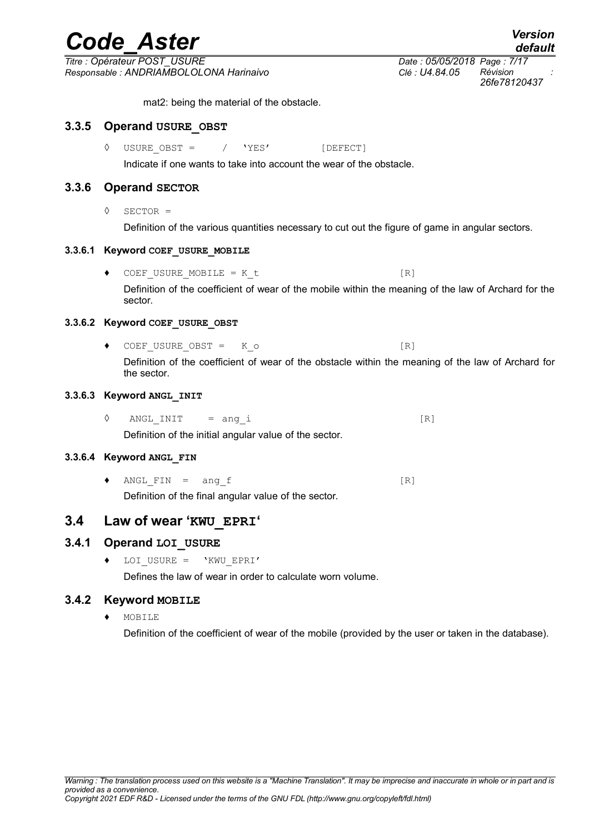*Titre : Opérateur POST\_USURE Date : 05/05/2018 Page : 7/17 Responsable : ANDRIAMBOLOLONA Harinaivo Clé : U4.84.05 Révision :*

mat2: being the material of the obstacle.

# **3.3.5 Operand USURE\_OBST**

◊ USURE\_OBST = / 'YES' [DEFECT]

Indicate if one wants to take into account the wear of the obstacle.

# **3.3.6 Operand SECTOR**

◊ SECTOR =

Definition of the various quantities necessary to cut out the figure of game in angular sectors.

# **3.3.6.1 Keyword COEF\_USURE\_MOBILE**

 $\bullet$  COEF USURE MOBILE = K t [R] Definition of the coefficient of wear of the mobile within the meaning of the law of Archard for the sector.

# **3.3.6.2 Keyword COEF\_USURE\_OBST**

◆ COEF\_USURE\_OBST = K\_o [R]

Definition of the coefficient of wear of the obstacle within the meaning of the law of Archard for the sector.

# **3.3.6.3 Keyword ANGL\_INIT**

 $\Diamond$  ANGLINIT = ang i [R]

Definition of the initial angular value of the sector.

# **3.3.6.4 Keyword ANGL\_FIN**

 $\blacklozenge$  ANGL FIN = ang f [R] Definition of the final angular value of the sector.

# **3.4 Law of wear 'KWU\_EPRI'**

# **3.4.1 Operand LOI\_USURE**

♦ LOI\_USURE = 'KWU\_EPRI'

Defines the law of wear in order to calculate worn volume.

# **3.4.2 Keyword MOBILE**

♦ MOBILE

Definition of the coefficient of wear of the mobile (provided by the user or taken in the database).

*26fe78120437*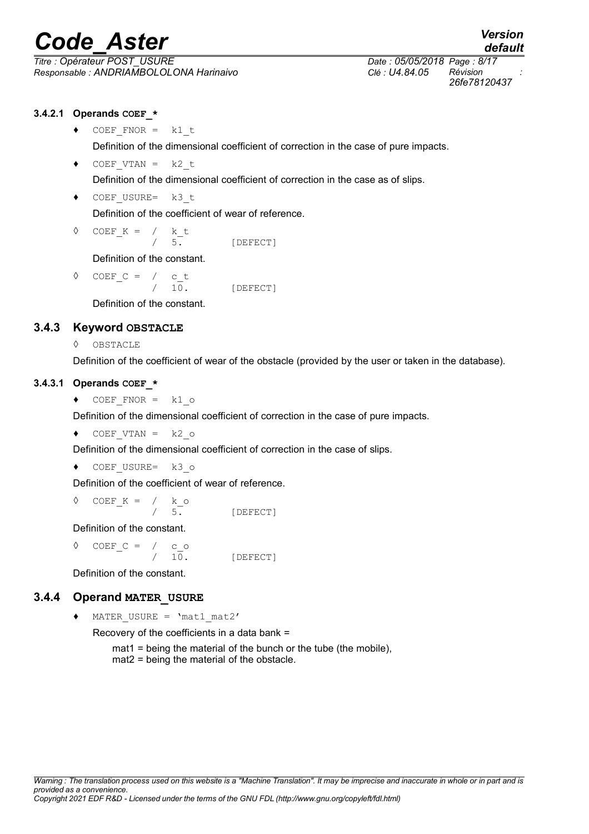*Titre : Opérateur POST\_USURE Date : 05/05/2018 Page : 8/17 Responsable : ANDRIAMBOLOLONA Harinaivo Clé : U4.84.05 Révision :*

# **3.4.2.1 Operands COEF\_\***

 $\triangleleft$  COEF FNOR = k1 t

Definition of the dimensional coefficient of correction in the case of pure impacts.

- $\triangleleft$  COEF VTAN = k2 t Definition of the dimensional coefficient of correction in the case as of slips.
- ◆ COEF USURE= k3 t Definition of the coefficient of wear of reference.

$$
\begin{array}{cccc}\n\lozenge & \text{COEF}_K & = & / & k_t \\
 & / & 5. & \text{[DEFECT]}\n\end{array}
$$

Definition of the constant.

$$
\begin{array}{cccc}\n\lozenge & \text{COEF}_{C} = & / & c_t \\
 & / & 10. & [\text{DEFECT}]\n\end{array}
$$

Definition of the constant.

# **3.4.3 Keyword OBSTACLE**

◊ OBSTACLE

Definition of the coefficient of wear of the obstacle (provided by the user or taken in the database).

## **3.4.3.1 Operands COEF\_\***

 $\triangleleft$  COEF FNOR = k1 o

Definition of the dimensional coefficient of correction in the case of pure impacts.

 $\triangleleft$  COEF VTAN = k2 o

Definition of the dimensional coefficient of correction in the case of slips.

 $\triangleleft$  COEF USURE= k3 o

Definition of the coefficient of wear of reference.

◊ COEF\_K = / k\_o 5. [DEFECT]

Definition of the constant.

◊ COEF\_C = / c\_o 10. [DEFECT]

Definition of the constant.

# **3.4.4 Operand MATER\_USURE**

♦ MATER\_USURE = 'mat1\_mat2'

Recovery of the coefficients in a data bank =

mat1 = being the material of the bunch or the tube (the mobile), mat2 = being the material of the obstacle.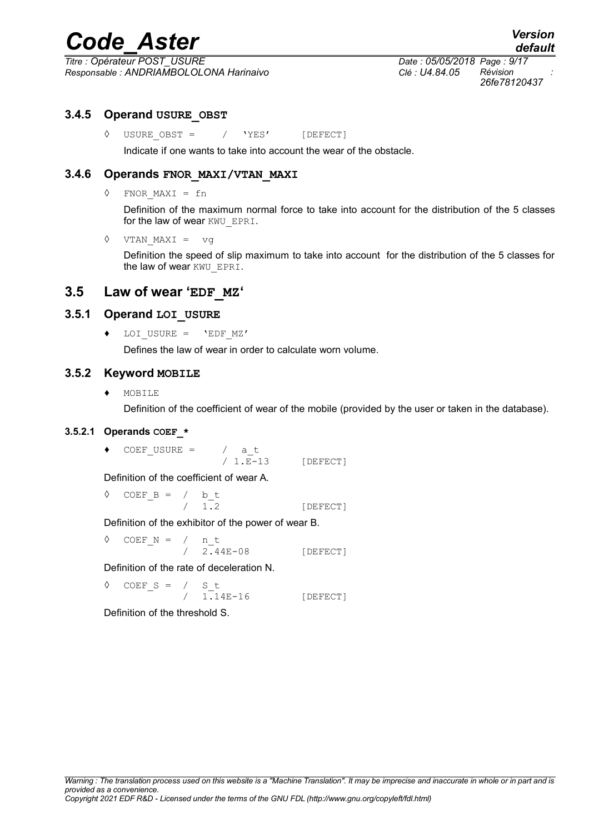*Titre : Opérateur POST\_USURE Date : 05/05/2018 Page : 9/17 Responsable : ANDRIAMBOLOLONA Harinaivo Clé : U4.84.05 Révision :*

*26fe78120437*

# **3.4.5 Operand USURE\_OBST**

◊ USURE\_OBST = / 'YES' [DEFECT]

Indicate if one wants to take into account the wear of the obstacle.

# **3.4.6 Operands FNOR\_MAXI/VTAN\_MAXI**

◊ FNOR\_MAXI = fn

Definition of the maximum normal force to take into account for the distribution of the 5 classes for the law of wear KWU EPRI.

◊ VTAN\_MAXI = vg

Definition the speed of slip maximum to take into account for the distribution of the 5 classes for the law of wear KWU\_EPRI.

# **3.5 Law of wear 'EDF\_MZ'**

## **3.5.1 Operand LOI\_USURE**

♦ LOI\_USURE = 'EDF\_MZ'

Defines the law of wear in order to calculate worn volume.

## **3.5.2 Keyword MOBILE**

♦ MOBILE

Definition of the coefficient of wear of the mobile (provided by the user or taken in the database).

## **3.5.2.1 Operands COEF\_\***

 $\bullet$  COEF USURE = / at

 $/ 1.E-13$  [DEFECT]

Definition of the coefficient of wear A.

 $\begin{array}{cccc} \lozenge & \text{COEF\_B} & = & / & \text{b\_t} \\ & & / & 1.2 \end{array}$ 

/ 1.2 [DEFECT]

Definition of the exhibitor of the power of wear B.

◊ COEF\_N = / n\_t

/ 2.44E-08 [DEFECT]

Definition of the rate of deceleration N.

$$
\begin{array}{cccc}\n\lozenge & \text{COEF\_S} & = & / & S_t \\
 & / & 1.14E-16 & \text{[DEFECT]}\n\end{array}
$$

Definition of the threshold S.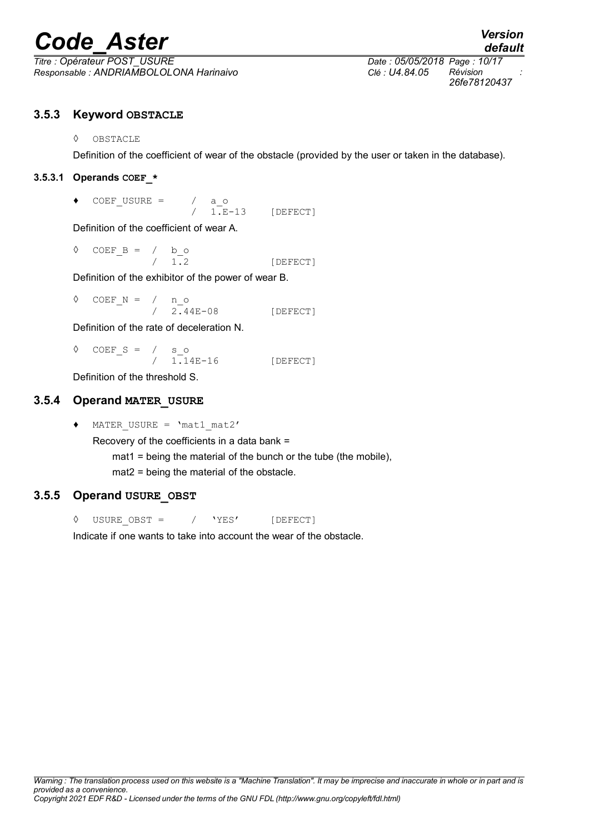*Titre : Opérateur POST\_USURE Date : 05/05/2018 Page : 10/17 Responsable : ANDRIAMBOLOLONA Harinaivo Clé : U4.84.05 Révision :*

*26fe78120437*

# **3.5.3 Keyword OBSTACLE**

◊ OBSTACLE

Definition of the coefficient of wear of the obstacle (provided by the user or taken in the database).

# **3.5.3.1 Operands COEF\_\***

 $\begin{array}{cccc} \bullet & \text{COEF\_USURE} & = & / & a\_o \\ & & / & 1.E \end{array}$ 

 $1. E-13$  [DEFECT]

Definition of the coefficient of wear A.

◊ COEF\_B = / b\_o / 1.2 [DEFECT]

Definition of the exhibitor of the power of wear B.

◊ COEF\_N = / n\_o / 2.44E-08 [DEFECT]

Definition of the rate of deceleration N.

 $\begin{array}{cccc} \lozenge & \textrm{COEF\_S} & = & / & s\_o \\ & / & 1.14E-16 \end{array}$ / 1.14E-16 [DEFECT]

Definition of the threshold S.

# **3.5.4 Operand MATER\_USURE**

♦ MATER\_USURE = 'mat1\_mat2' Recovery of the coefficients in a data bank = mat1 = being the material of the bunch or the tube (the mobile), mat2 = being the material of the obstacle.

# **3.5.5 Operand USURE\_OBST**

◊ USURE\_OBST = / 'YES' [DEFECT]

Indicate if one wants to take into account the wear of the obstacle.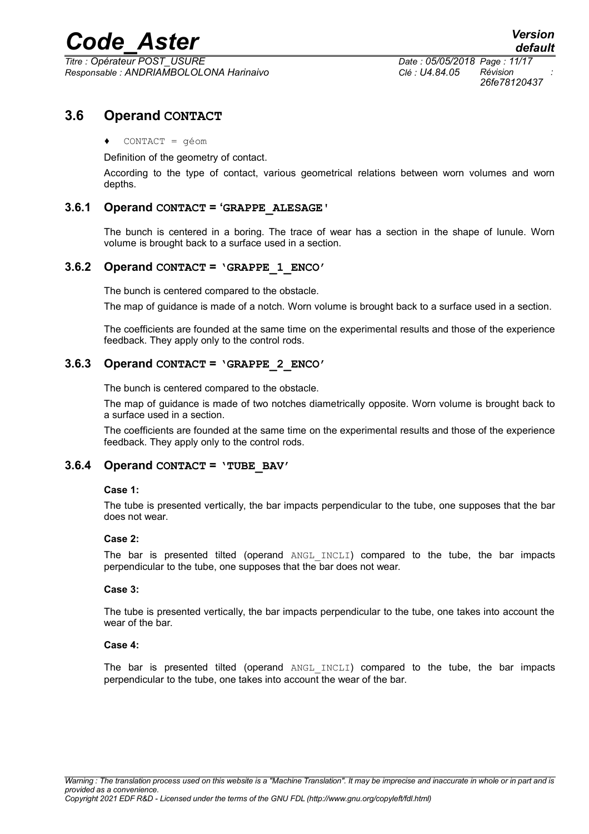*Titre : Opérateur POST\_USURE Date : 05/05/2018 Page : 11/17 Responsable : ANDRIAMBOLOLONA Harinaivo Clé : U4.84.05 Révision :*

*26fe78120437*

# **3.6 Operand CONTACT**

#### ♦ CONTACT = géom

Definition of the geometry of contact.

According to the type of contact, various geometrical relations between worn volumes and worn depths.

#### **3.6.1 Operand CONTACT = 'GRAPPE\_ALESAGE'**

The bunch is centered in a boring. The trace of wear has a section in the shape of lunule. Worn volume is brought back to a surface used in a section.

#### **3.6.2 Operand CONTACT = 'GRAPPE\_1\_ENCO'**

The bunch is centered compared to the obstacle.

The map of guidance is made of a notch. Worn volume is brought back to a surface used in a section.

The coefficients are founded at the same time on the experimental results and those of the experience feedback. They apply only to the control rods.

#### **3.6.3 Operand CONTACT = 'GRAPPE\_2\_ENCO'**

The bunch is centered compared to the obstacle.

The map of guidance is made of two notches diametrically opposite. Worn volume is brought back to a surface used in a section.

The coefficients are founded at the same time on the experimental results and those of the experience feedback. They apply only to the control rods.

## **3.6.4 Operand CONTACT = 'TUBE\_BAV'**

#### **Case 1:**

The tube is presented vertically, the bar impacts perpendicular to the tube, one supposes that the bar does not wear.

#### **Case 2:**

The bar is presented tilted (operand ANGL\_INCLI) compared to the tube, the bar impacts perpendicular to the tube, one supposes that the bar does not wear.

#### **Case 3:**

The tube is presented vertically, the bar impacts perpendicular to the tube, one takes into account the wear of the bar.

#### **Case 4:**

The bar is presented tilted (operand ANGL INCLI) compared to the tube, the bar impacts perpendicular to the tube, one takes into account the wear of the bar.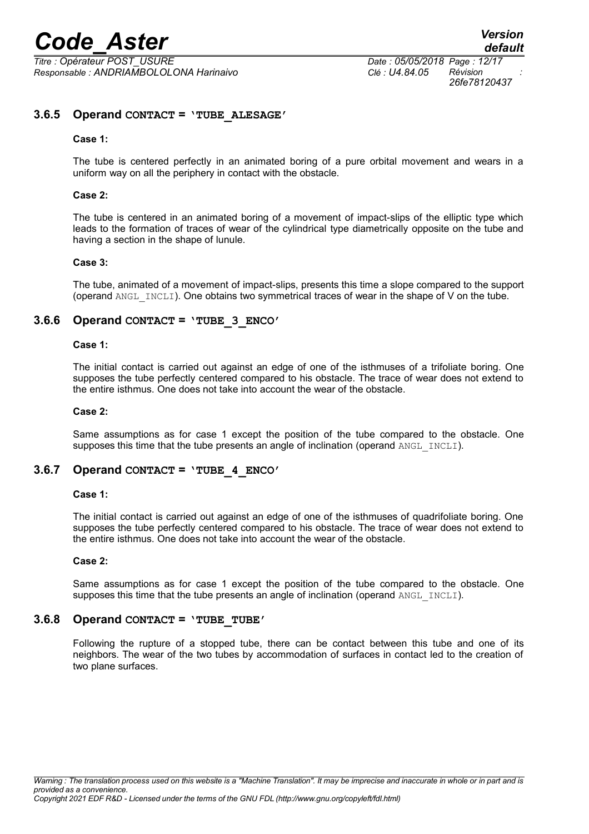*Titre : Opérateur POST\_USURE Date : 05/05/2018 Page : 12/17 Responsable : ANDRIAMBOLOLONA Harinaivo Clé : U4.84.05 Révision :*

*26fe78120437*

## **3.6.5 Operand CONTACT = 'TUBE\_ALESAGE'**

#### **Case 1:**

The tube is centered perfectly in an animated boring of a pure orbital movement and wears in a uniform way on all the periphery in contact with the obstacle.

#### **Case 2:**

The tube is centered in an animated boring of a movement of impact-slips of the elliptic type which leads to the formation of traces of wear of the cylindrical type diametrically opposite on the tube and having a section in the shape of lunule.

#### **Case 3:**

The tube, animated of a movement of impact-slips, presents this time a slope compared to the support (operand  $ANGLINCLI$ ). One obtains two symmetrical traces of wear in the shape of V on the tube.

#### **3.6.6 Operand CONTACT = 'TUBE\_3\_ENCO'**

#### **Case 1:**

The initial contact is carried out against an edge of one of the isthmuses of a trifoliate boring. One supposes the tube perfectly centered compared to his obstacle. The trace of wear does not extend to the entire isthmus. One does not take into account the wear of the obstacle.

#### **Case 2:**

Same assumptions as for case 1 except the position of the tube compared to the obstacle. One supposes this time that the tube presents an angle of inclination (operand ANGL  $INCLI$ ).

#### **3.6.7 Operand CONTACT = 'TUBE\_4\_ENCO'**

#### **Case 1:**

The initial contact is carried out against an edge of one of the isthmuses of quadrifoliate boring. One supposes the tube perfectly centered compared to his obstacle. The trace of wear does not extend to the entire isthmus. One does not take into account the wear of the obstacle.

#### **Case 2:**

Same assumptions as for case 1 except the position of the tube compared to the obstacle. One supposes this time that the tube presents an angle of inclination (operand  $ANGLINCLI$ ).

#### **3.6.8 Operand CONTACT = 'TUBE\_TUBE'**

Following the rupture of a stopped tube, there can be contact between this tube and one of its neighbors. The wear of the two tubes by accommodation of surfaces in contact led to the creation of two plane surfaces.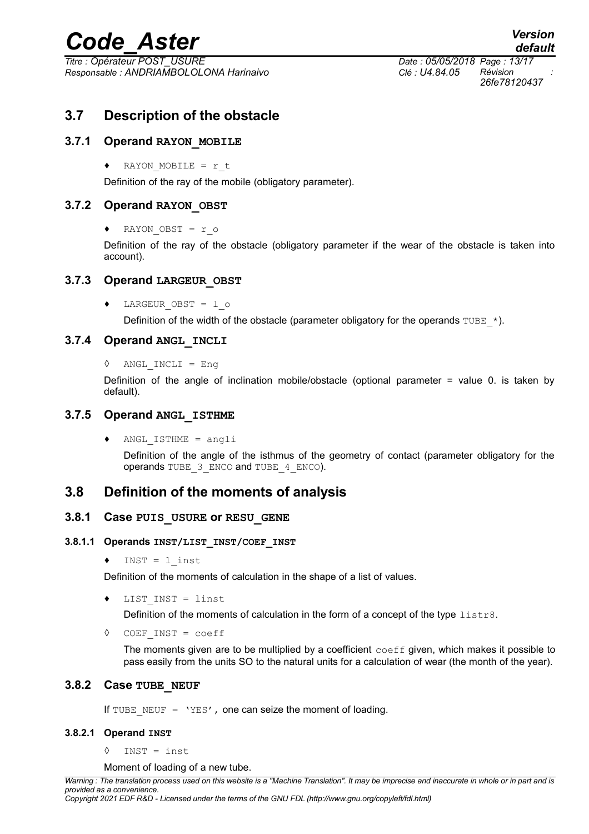*Titre : Opérateur POST\_USURE Date : 05/05/2018 Page : 13/17 Responsable : ANDRIAMBOLOLONA Harinaivo Clé : U4.84.05 Révision :*

# **3.7 Description of the obstacle**

# **3.7.1 Operand RAYON\_MOBILE**

♦ RAYON\_MOBILE = r\_t

Definition of the ray of the mobile (obligatory parameter).

## **3.7.2 Operand RAYON\_OBST**

♦ RAYON\_OBST = r\_o

Definition of the ray of the obstacle (obligatory parameter if the wear of the obstacle is taken into account).

## **3.7.3 Operand LARGEUR\_OBST**

♦ LARGEUR\_OBST = l\_o

Definition of the width of the obstacle (parameter obligatory for the operands TUBE  $*$ ).

#### **3.7.4 Operand ANGL\_INCLI**

```
◊ ANGL_INCLI = Eng
```
Definition of the angle of inclination mobile/obstacle (optional parameter = value 0. is taken by default).

#### **3.7.5 Operand ANGL\_ISTHME**

♦ ANGL\_ISTHME = angli

Definition of the angle of the isthmus of the geometry of contact (parameter obligatory for the operands TUBE 3 ENCO and TUBE 4 ENCO).

# **3.8 Definition of the moments of analysis**

#### **3.8.1 Case PUIS\_USURE or RESU\_GENE**

#### **3.8.1.1 Operands INST/LIST\_INST/COEF\_INST**

♦ INST = l\_inst

Definition of the moments of calculation in the shape of a list of values.

♦ LIST\_INST = linst

Definition of the moments of calculation in the form of a concept of the type  $listrs$ .

◊ COEF\_INST = coeff

The moments given are to be multiplied by a coefficient  $\text{coeff}$  given, which makes it possible to pass easily from the units SO to the natural units for a calculation of wear (the month of the year).

# **3.8.2 Case TUBE\_NEUF**

If TUBE NEUF =  $YES'$ , one can seize the moment of loading.

#### **3.8.2.1 Operand INST**

◊ INST = inst

Moment of loading of a new tube.

*Warning : The translation process used on this website is a "Machine Translation". It may be imprecise and inaccurate in whole or in part and is provided as a convenience. Copyright 2021 EDF R&D - Licensed under the terms of the GNU FDL (http://www.gnu.org/copyleft/fdl.html)*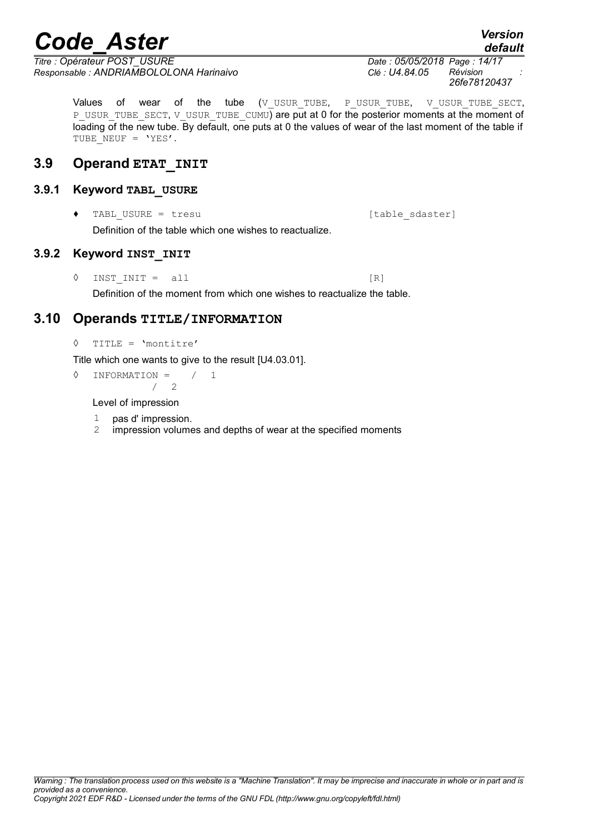*Titre : Opérateur POST\_USURE Date : 05/05/2018 Page : 14/17 Responsable : ANDRIAMBOLOLONA Harinaivo Clé : U4.84.05 Révision :*

Values of wear of the tube (V\_USUR\_TUBE, P\_USUR\_TUBE, V\_USUR\_TUBE\_SECT, P\_USUR\_TUBE\_SECT, V\_USUR\_TUBE\_CUMU) are put at 0 for the posterior moments at the moment of loading of the new tube. By default, one puts at 0 the values of wear of the last moment of the table if TUBE NEUF = 'YES'.

# **3.9 Operand ETAT\_INIT**

# **3.9.1 Keyword TABL\_USURE**

TABL USURE = tresu [table sdaster] Definition of the table which one wishes to reactualize.

# **3.9.2 Keyword INST\_INIT**

 $\Diamond$  INST INIT = all [R]

Definition of the moment from which one wishes to reactualize the table.

# **3.10 Operands TITLE/INFORMATION**

```
◊ TITLE = 'montitre'
```
Title which one wants to give to the result [U4.03.01].

◊ INFORMATION = / 1 / 2

Level of impression

- 1 pas d' impression.
- 2 impression volumes and depths of wear at the specified moments

*26fe78120437*

*default*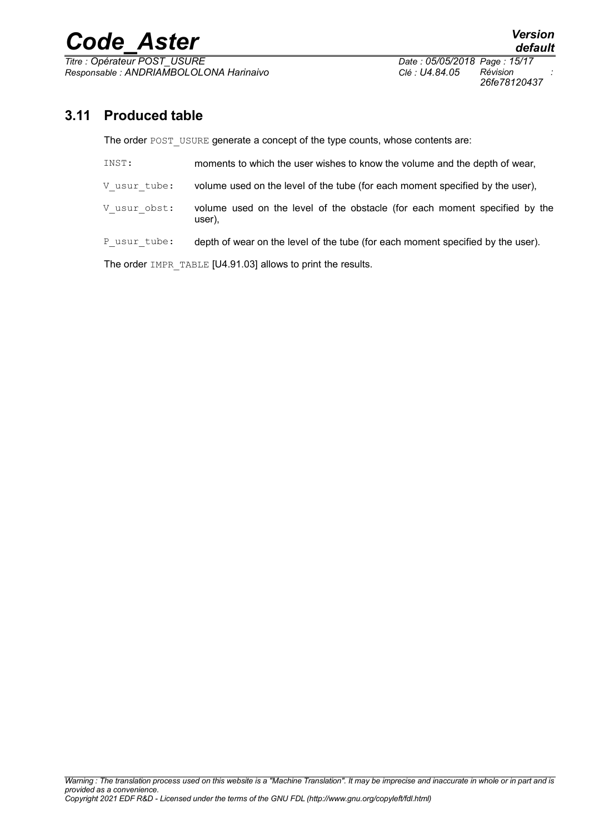*Titre : Opérateur POST\_USURE Date : 05/05/2018 Page : 15/17 Responsable : ANDRIAMBOLOLONA Harinaivo Clé : U4.84.05 Révision :*

*26fe78120437*

# **3.11 Produced table**

The order POST\_USURE generate a concept of the type counts, whose contents are:

| INST:        | moments to which the user wishes to know the volume and the depth of wear,           |
|--------------|--------------------------------------------------------------------------------------|
| V usur tube: | volume used on the level of the tube (for each moment specified by the user),        |
| V usur obst: | volume used on the level of the obstacle (for each moment specified by the<br>user), |
| P usur tube: | depth of wear on the level of the tube (for each moment specified by the user).      |

The order IMPR\_TABLE [U4.91.03] allows to print the results.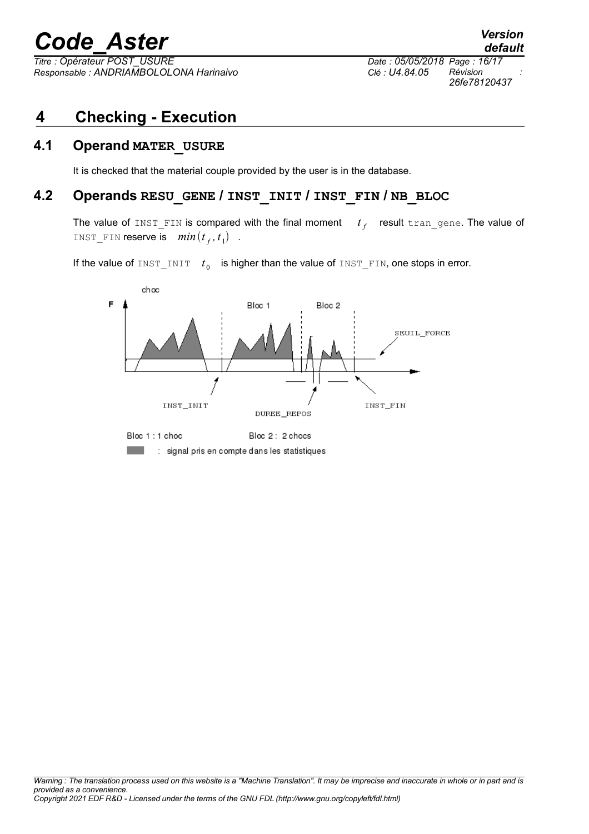*Responsable : ANDRIAMBOLOLONA Harinaivo Clé : U4.84.05 Révision :*

*Titre : Opérateur POST\_USURE Date : 05/05/2018 Page : 16/17 26fe78120437*

# **4 Checking - Execution**

# **4.1 Operand MATER\_USURE**

It is checked that the material couple provided by the user is in the database.

# **4.2 Operands RESU\_GENE / INST\_INIT / INST\_FIN / NB\_BLOC**

The value of INST\_FIN is compared with the final moment *t f* result tran\_gene. The value of INST\_FIN reserve is  $min(t_f, t_1)$ .

If the value of  $\text{INST\_INIT}$  *t*<sub>0</sub> is higher than the value of  $\text{INST\_FIN}$ , one stops in error.